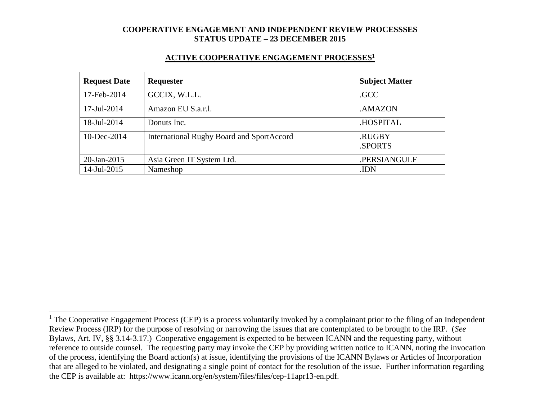#### **ACTIVE COOPERATIVE ENGAGEMENT PROCESSES<sup>1</sup>**

| <b>Request Date</b> | Requester                                        | <b>Subject Matter</b> |
|---------------------|--------------------------------------------------|-----------------------|
| 17-Feb-2014         | GCCIX, W.L.L.                                    | .GCC                  |
| 17-Jul-2014         | Amazon EU S.a.r.l.                               | .AMAZON               |
| 18-Jul-2014         | Donuts Inc.                                      | .HOSPITAL             |
| 10-Dec-2014         | <b>International Rugby Board and SportAccord</b> | .RUGBY<br>.SPORTS     |
| 20-Jan-2015         | Asia Green IT System Ltd.                        | .PERSIANGULF          |
| 14-Jul-2015         | Nameshop                                         | .IDN                  |

 $\overline{a}$ 

 $1$  The Cooperative Engagement Process (CEP) is a process voluntarily invoked by a complainant prior to the filing of an Independent Review Process (IRP) for the purpose of resolving or narrowing the issues that are contemplated to be brought to the IRP. (*See* Bylaws, Art. IV, §§ 3.14-3.17.) Cooperative engagement is expected to be between ICANN and the requesting party, without reference to outside counsel. The requesting party may invoke the CEP by providing written notice to ICANN, noting the invocation of the process, identifying the Board action(s) at issue, identifying the provisions of the ICANN Bylaws or Articles of Incorporation that are alleged to be violated, and designating a single point of contact for the resolution of the issue. Further information regarding the CEP is available at: https://www.icann.org/en/system/files/files/cep-11apr13-en.pdf.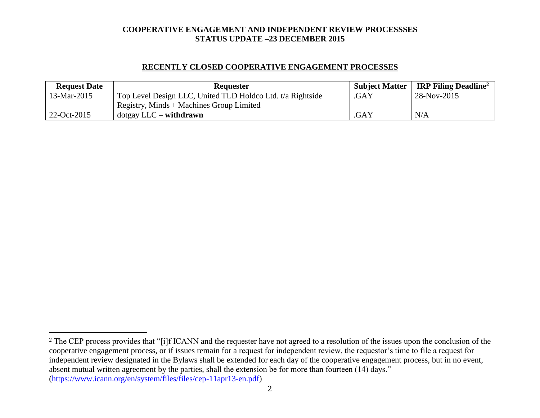## **RECENTLY CLOSED COOPERATIVE ENGAGEMENT PROCESSES**

| <b>Request Date</b> | <b>Requester</b>                                           |      | Subject Matter   IRP Filing Deadline <sup>2</sup> |
|---------------------|------------------------------------------------------------|------|---------------------------------------------------|
| 13-Mar-2015         | Top Level Design LLC, United TLD Holdco Ltd. t/a Rightside | .GAY | 28-Nov-2015                                       |
|                     | Registry, Minds + Machines Group Limited                   |      |                                                   |
| $22-Oct-2015$       | $dot$ gay LLC – withdrawn                                  | .GAY | N/A                                               |

l

<sup>&</sup>lt;sup>2</sup> The CEP process provides that "[i]f ICANN and the requester have not agreed to a resolution of the issues upon the conclusion of the cooperative engagement process, or if issues remain for a request for independent review, the requestor's time to file a request for independent review designated in the Bylaws shall be extended for each day of the cooperative engagement process, but in no event, absent mutual written agreement by the parties, shall the extension be for more than fourteen (14) days." (https://www.icann.org/en/system/files/files/cep-11apr13-en.pdf)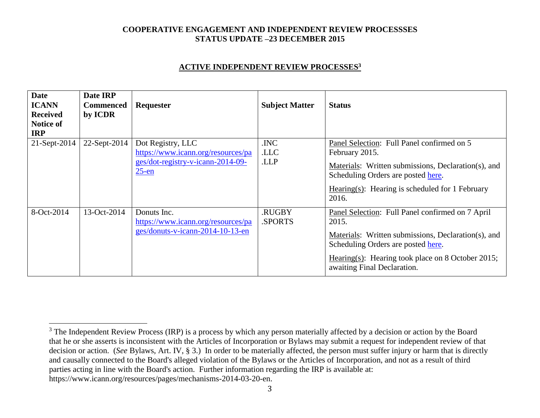### **ACTIVE INDEPENDENT REVIEW PROCESSES<sup>3</sup>**

| <b>Date</b><br><b>ICANN</b><br><b>Received</b><br>Notice of<br><b>IRP</b> | Date IRP<br><b>Commenced</b><br>by ICDR | Requester                                                                                                | <b>Subject Matter</b>   | <b>Status</b>                                                                                                                                                                                                                              |
|---------------------------------------------------------------------------|-----------------------------------------|----------------------------------------------------------------------------------------------------------|-------------------------|--------------------------------------------------------------------------------------------------------------------------------------------------------------------------------------------------------------------------------------------|
| 21-Sept-2014                                                              | 22-Sept-2014                            | Dot Registry, LLC<br>https://www.icann.org/resources/pa<br>ges/dot-registry-v-icann-2014-09-<br>$25$ -en | .INC<br>.LLC<br>.LLP    | Panel Selection: Full Panel confirmed on 5<br>February 2015.<br>Materials: Written submissions, Declaration(s), and<br>Scheduling Orders are posted here.<br>Hearing(s): Hearing is scheduled for 1 February<br>2016.                      |
| 8-Oct-2014                                                                | 13-Oct-2014                             | Donuts Inc.<br>https://www.icann.org/resources/pa<br>ges/donuts-v-icann-2014-10-13-en                    | <b>RUGBY</b><br>.SPORTS | Panel Selection: Full Panel confirmed on 7 April<br>2015.<br>Materials: Written submissions, Declaration(s), and<br>Scheduling Orders are posted here.<br>Hearing(s): Hearing took place on 8 October 2015;<br>awaiting Final Declaration. |

 $\overline{a}$ 

<sup>&</sup>lt;sup>3</sup> The Independent Review Process (IRP) is a process by which any person materially affected by a decision or action by the Board that he or she asserts is inconsistent with the Articles of Incorporation or Bylaws may submit a request for independent review of that decision or action. (*See* Bylaws, Art. IV, § 3.) In order to be materially affected, the person must suffer injury or harm that is directly and causally connected to the Board's alleged violation of the Bylaws or the Articles of Incorporation, and not as a result of third parties acting in line with the Board's action. Further information regarding the IRP is available at: https://www.icann.org/resources/pages/mechanisms-2014-03-20-en.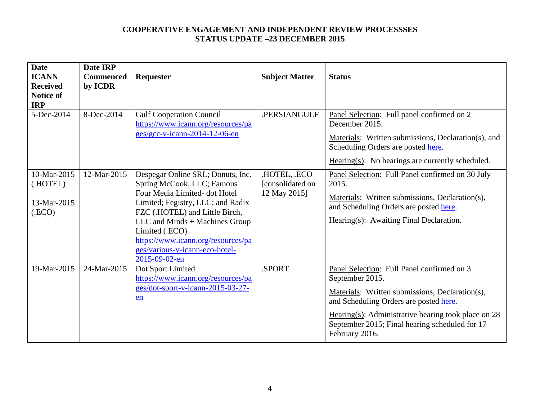| <b>Date</b><br><b>ICANN</b><br><b>Received</b><br><b>Notice of</b><br><b>IRP</b><br>5-Dec-2014 | Date IRP<br><b>Commenced</b><br>by ICDR<br>8-Dec-2014 | Requester<br><b>Gulf Cooperation Council</b>                                                                                                                                                                                                                                                                        | <b>Subject Matter</b><br>.PERSIANGULF            | <b>Status</b><br>Panel Selection: Full panel confirmed on 2                                                                                                                                                                                                                             |
|------------------------------------------------------------------------------------------------|-------------------------------------------------------|---------------------------------------------------------------------------------------------------------------------------------------------------------------------------------------------------------------------------------------------------------------------------------------------------------------------|--------------------------------------------------|-----------------------------------------------------------------------------------------------------------------------------------------------------------------------------------------------------------------------------------------------------------------------------------------|
|                                                                                                |                                                       | https://www.icann.org/resources/pa<br>$ges/gcc-v-icann-2014-12-06-en$                                                                                                                                                                                                                                               |                                                  | December 2015.<br>Materials: Written submissions, Declaration(s), and<br>Scheduling Orders are posted here.<br>$Hearing(s): No hearings are currently scheduled.$                                                                                                                       |
| 10-Mar-2015<br>(.HOTEL)<br>13-Mar-2015<br>(ECO)                                                | 12-Mar-2015                                           | Despegar Online SRL; Donuts, Inc.<br>Spring McCook, LLC; Famous<br>Four Media Limited-dot Hotel<br>Limited; Fegistry, LLC; and Radix<br>FZC (.HOTEL) and Little Birch,<br>LLC and Minds + Machines Group<br>Limited (.ECO)<br>https://www.icann.org/resources/pa<br>ges/various-v-icann-eco-hotel-<br>2015-09-02-en | .HOTEL, .ECO<br>[consolidated on<br>12 May 2015] | Panel Selection: Full Panel confirmed on 30 July<br>2015.<br>Materials: Written submissions, Declaration(s),<br>and Scheduling Orders are posted here.<br>Hearing(s): Awaiting Final Declaration.                                                                                       |
| 19-Mar-2015                                                                                    | 24-Mar-2015                                           | Dot Sport Limited<br>https://www.icann.org/resources/pa<br>ges/dot-sport-v-icann-2015-03-27-<br>en                                                                                                                                                                                                                  | .SPORT                                           | Panel Selection: Full Panel confirmed on 3<br>September 2015.<br>Materials: Written submissions, Declaration(s),<br>and Scheduling Orders are posted here.<br>Hearing(s): Administrative hearing took place on $28$<br>September 2015; Final hearing scheduled for 17<br>February 2016. |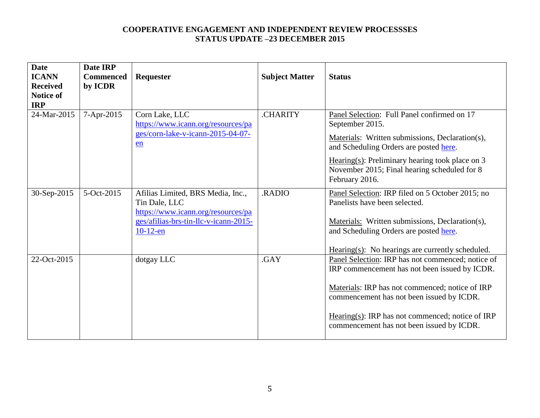| <b>Date</b><br><b>ICANN</b><br><b>Received</b><br><b>Notice of</b><br><b>IRP</b> | Date IRP<br><b>Commenced</b><br>by ICDR | Requester                                                                                                                                        | <b>Subject Matter</b> | <b>Status</b>                                                                                                                                                                                                                                                                                       |
|----------------------------------------------------------------------------------|-----------------------------------------|--------------------------------------------------------------------------------------------------------------------------------------------------|-----------------------|-----------------------------------------------------------------------------------------------------------------------------------------------------------------------------------------------------------------------------------------------------------------------------------------------------|
| 24-Mar-2015                                                                      | 7-Apr-2015                              | Corn Lake, LLC<br>https://www.icann.org/resources/pa<br>ges/corn-lake-v-icann-2015-04-07-<br>en                                                  | <b>CHARITY</b>        | Panel Selection: Full Panel confirmed on 17<br>September 2015.<br>Materials: Written submissions, Declaration(s),<br>and Scheduling Orders are posted here.<br>Hearing(s): Preliminary hearing took place on $3$<br>November 2015; Final hearing scheduled for 8<br>February 2016.                  |
| 30-Sep-2015                                                                      | 5-Oct-2015                              | Afilias Limited, BRS Media, Inc.,<br>Tin Dale, LLC<br>https://www.icann.org/resources/pa<br>ges/afilias-brs-tin-llc-v-icann-2015-<br>$10-12$ -en | .RADIO                | Panel Selection: IRP filed on 5 October 2015; no<br>Panelists have been selected.<br>Materials: Written submissions, Declaration(s),<br>and Scheduling Orders are posted here.<br>$Hearing(s): No hearings are currently scheduled.$                                                                |
| 22-Oct-2015                                                                      |                                         | dotgay LLC                                                                                                                                       | .GAY                  | Panel Selection: IRP has not commenced; notice of<br>IRP commencement has not been issued by ICDR.<br>Materials: IRP has not commenced; notice of IRP<br>commencement has not been issued by ICDR.<br>Hearing(s): IRP has not commenced; notice of IRP<br>commencement has not been issued by ICDR. |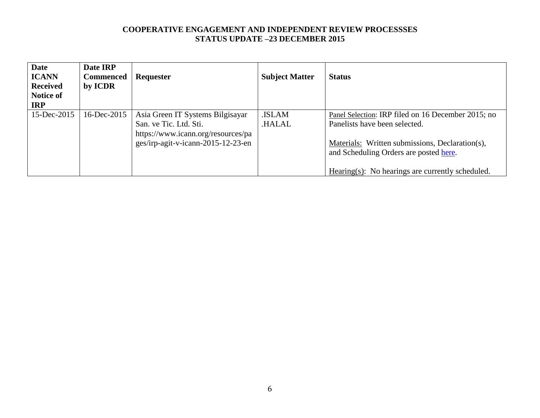| <b>Date</b><br><b>ICANN</b><br><b>Received</b><br>Notice of<br><b>IRP</b> | Date IRP<br><b>Commenced</b><br>by ICDR | Requester                                                                                                                              | <b>Subject Matter</b>        | <b>Status</b>                                                                                                                                                                                                                        |
|---------------------------------------------------------------------------|-----------------------------------------|----------------------------------------------------------------------------------------------------------------------------------------|------------------------------|--------------------------------------------------------------------------------------------------------------------------------------------------------------------------------------------------------------------------------------|
| 15-Dec-2015                                                               | 16-Dec-2015                             | Asia Green IT Systems Bilgisayar<br>San. ve Tic. Ltd. Sti.<br>https://www.icann.org/resources/pa<br>ges/irp-agit-v-icann-2015-12-23-en | <b>ISLAM</b><br><b>HALAL</b> | Panel Selection: IRP filed on 16 December 2015; no<br>Panelists have been selected.<br>Materials: Written submissions, Declaration(s),<br>and Scheduling Orders are posted here.<br>Hearing(s): No hearings are currently scheduled. |